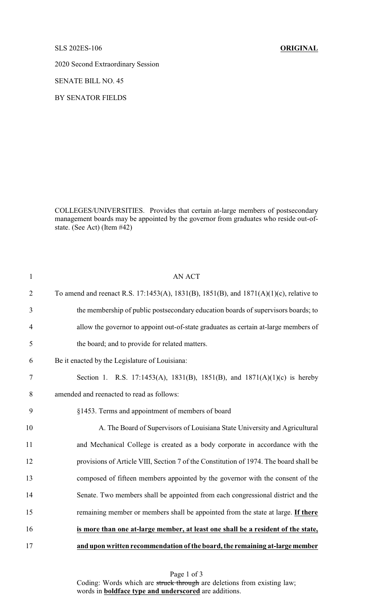SLS 202ES-106 **ORIGINAL**

2020 Second Extraordinary Session

SENATE BILL NO. 45

BY SENATOR FIELDS

COLLEGES/UNIVERSITIES. Provides that certain at-large members of postsecondary management boards may be appointed by the governor from graduates who reside out-ofstate. (See Act) (Item #42)

| $\mathbf{1}$   | <b>AN ACT</b>                                                                          |
|----------------|----------------------------------------------------------------------------------------|
| $\overline{2}$ | To amend and reenact R.S. 17:1453(A), 1831(B), 1851(B), and 1871(A)(1)(c), relative to |
| 3              | the membership of public postsecondary education boards of supervisors boards; to      |
| $\overline{4}$ | allow the governor to appoint out-of-state graduates as certain at-large members of    |
| 5              | the board; and to provide for related matters.                                         |
| 6              | Be it enacted by the Legislature of Louisiana:                                         |
| 7              | Section 1. R.S. 17:1453(A), 1831(B), 1851(B), and 1871(A)(1)(c) is hereby              |
| 8              | amended and reenacted to read as follows:                                              |
| 9              | §1453. Terms and appointment of members of board                                       |
| 10             | A. The Board of Supervisors of Louisiana State University and Agricultural             |
| 11             | and Mechanical College is created as a body corporate in accordance with the           |
| 12             | provisions of Article VIII, Section 7 of the Constitution of 1974. The board shall be  |
| 13             | composed of fifteen members appointed by the governor with the consent of the          |
| 14             | Senate. Two members shall be appointed from each congressional district and the        |
| 15             | remaining member or members shall be appointed from the state at large. If there       |
| 16             | is more than one at-large member, at least one shall be a resident of the state,       |
| 17             | and upon written recommendation of the board, the remaining at-large member            |

Page 1 of 3 Coding: Words which are struck through are deletions from existing law; words in **boldface type and underscored** are additions.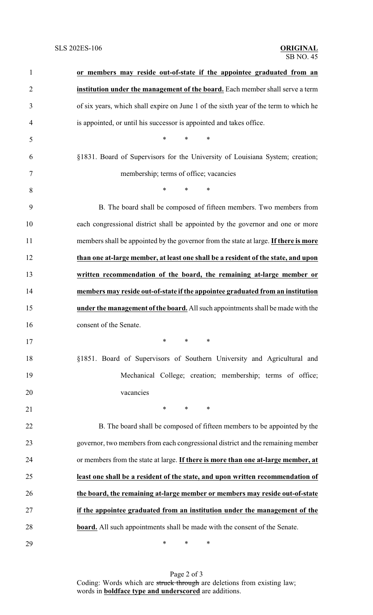| $\mathbf{1}$   | or members may reside out-of-state if the appointee graduated from an                |
|----------------|--------------------------------------------------------------------------------------|
| $\overline{2}$ | institution under the management of the board. Each member shall serve a term        |
| 3              | of six years, which shall expire on June 1 of the sixth year of the term to which he |
| 4              | is appointed, or until his successor is appointed and takes office.                  |
| 5              | $\ast$<br>$\ast$<br>∗                                                                |
| 6              | §1831. Board of Supervisors for the University of Louisiana System; creation;        |
| $\tau$         | membership; terms of office; vacancies                                               |
| 8              | $*$ $*$<br>$\ast$<br>∗                                                               |
| 9              | B. The board shall be composed of fifteen members. Two members from                  |
| 10             | each congressional district shall be appointed by the governor and one or more       |
| 11             | members shall be appointed by the governor from the state at large. If there is more |
| 12             | than one at-large member, at least one shall be a resident of the state, and upon    |
| 13             | written recommendation of the board, the remaining at-large member or                |
| 14             | members may reside out-of-state if the appointee graduated from an institution       |
| 15             | under the management of the board. All such appointments shall be made with the      |
| 16             | consent of the Senate.                                                               |
| 17             | $*$ and $*$<br>∗<br>∗                                                                |
| 18             | §1851. Board of Supervisors of Southern University and Agricultural and              |
| 19             | Mechanical College; creation; membership; terms of office;                           |
| 20             | vacancies                                                                            |
| 21             | $*$ $*$<br>$\ast$<br>$\ast$                                                          |
| 22             | B. The board shall be composed of fifteen members to be appointed by the             |
| 23             | governor, two members from each congressional district and the remaining member      |
| 24             | or members from the state at large. If there is more than one at-large member, at    |
| 25             | least one shall be a resident of the state, and upon written recommendation of       |
| 26             | the board, the remaining at-large member or members may reside out-of-state          |
| 27             | if the appointee graduated from an institution under the management of the           |
| 28             | <b>board.</b> All such appointments shall be made with the consent of the Senate.    |
| 29             | ∗<br>∗<br>∗                                                                          |

Page 2 of 3 Coding: Words which are struck through are deletions from existing law; words in **boldface type and underscored** are additions.